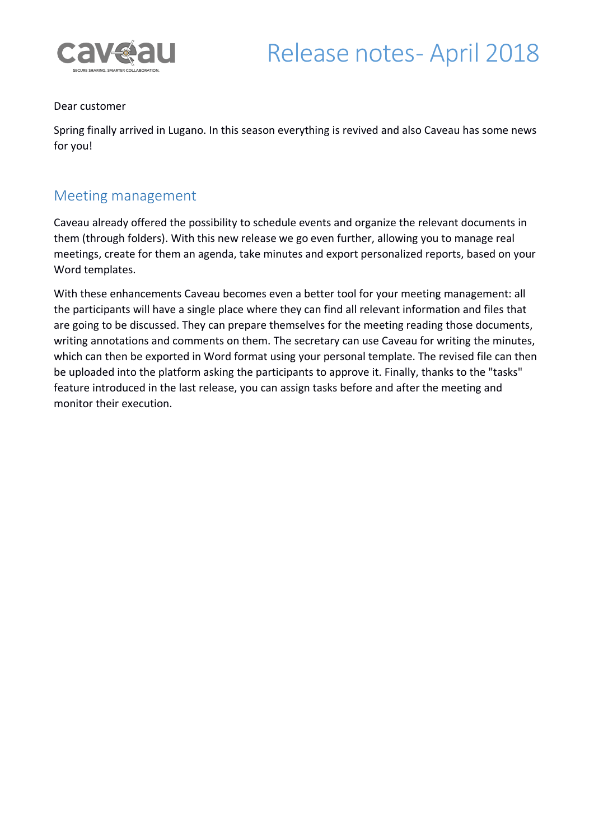

#### Dear customer

Spring finally arrived in Lugano. In this season everything is revived and also Caveau has some news for you!

### Meeting management

Caveau already offered the possibility to schedule events and organize the relevant documents in them (through folders). With this new release we go even further, allowing you to manage real meetings, create for them an agenda, take minutes and export personalized reports, based on your Word templates.

With these enhancements Caveau becomes even a better tool for your meeting management: all the participants will have a single place where they can find all relevant information and files that are going to be discussed. They can prepare themselves for the meeting reading those documents, writing annotations and comments on them. The secretary can use Caveau for writing the minutes, which can then be exported in Word format using your personal template. The revised file can then be uploaded into the platform asking the participants to approve it. Finally, thanks to the "tasks" feature introduced in the last release, you can assign tasks before and after the meeting and monitor their execution.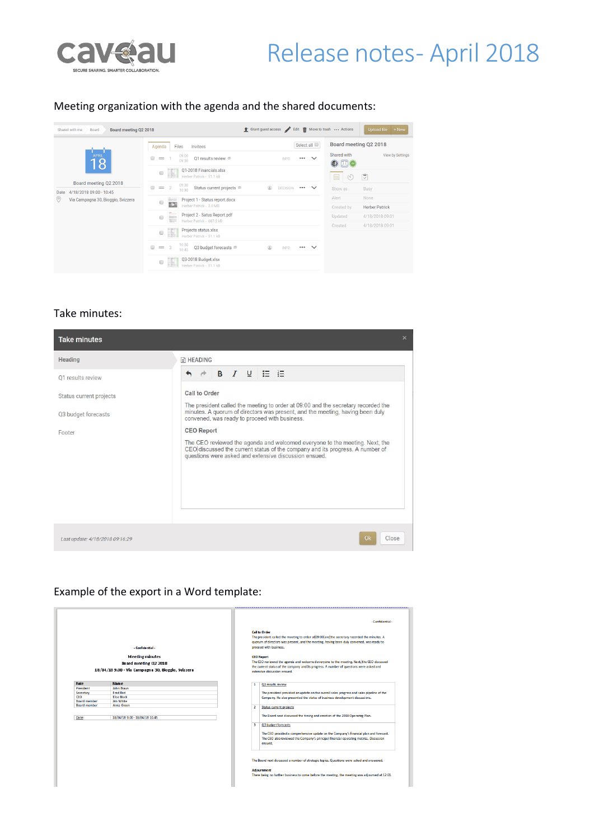

### Meeting organization with the agenda and the shared documents:

| Board meeting Q2 2018                                                                                | Crant guest access Edit   Move to trash  Actions                                                                                        |                                         |                                      | Upload file + New                  |
|------------------------------------------------------------------------------------------------------|-----------------------------------------------------------------------------------------------------------------------------------------|-----------------------------------------|--------------------------------------|------------------------------------|
| Invitees<br>Files<br>Agenda<br>09:00<br>$\Box$ = 1<br>Q1 results review <sup>®</sup><br>09:30        | <b>INFO</b>                                                                                                                             | $\checkmark$<br>$\cdots$                | Board meeting Q2 2018<br>Shared with | View by Settings                   |
| Herber Patrick - 51.1 kB<br>09:30<br>$\qquad \qquad \Box$<br>$= 2$<br>10:30                          | ⋒<br><b>DECISION</b>                                                                                                                    | $\checkmark$<br>$\bullet\bullet\bullet$ | 目<br>$\mathcal{O}$<br>Show as        | ů<br><b>Busy</b>                   |
| Project 1 - Status report.docx<br>$\Box$<br>ßЭ<br>Herber Patrick - 2.0 MB                            |                                                                                                                                         |                                         | Alert<br>Created by                  | None<br><b>Herber Patrick</b>      |
| Project 2 - Satus Report.pdf<br><b>Branch</b><br>$\Box$<br><b>Tomas</b><br>Herber Patrick - 687.2 kB |                                                                                                                                         |                                         | Updated                              | 4/18/2018 09:01<br>4/18/2018 09:01 |
| Projects status.xlsx<br>U.<br>$\qquad \qquad \Box$<br>Herber Patrick - 51.1 kB                       |                                                                                                                                         |                                         |                                      |                                    |
| $\qquad \qquad \Box$<br>$\equiv$ 3<br>Q3 budget forecasts<br>10:45<br>Q3-2018 Budget.xlsx<br>$\Box$  | $^{\circ}$<br><b>INFO</b>                                                                                                               | $\checkmark$<br>                        |                                      |                                    |
|                                                                                                      | 01-2018 Financials.xlsx<br>H<br>$\qquad \qquad \Box$<br>Status current projects <sup>■</sup><br>10:30<br>E.<br>Herber Patrick - 51.1 kB |                                         | Select all                           | Created                            |

#### Take minutes:

| <b>Take minutes</b>                                                           |                                                                                                                                                                                                                                                                                                                                                                                                                                                                                                                      | × |  |  |
|-------------------------------------------------------------------------------|----------------------------------------------------------------------------------------------------------------------------------------------------------------------------------------------------------------------------------------------------------------------------------------------------------------------------------------------------------------------------------------------------------------------------------------------------------------------------------------------------------------------|---|--|--|
| Heading                                                                       | <b>THEADING</b>                                                                                                                                                                                                                                                                                                                                                                                                                                                                                                      |   |  |  |
| 01 results review<br>Status current projects<br>Q3 budget forecasts<br>Footer | <b>B</b> <i>I</i> <b>U E E</b><br>Call to Order<br>The president called the meeting to order at 09:00 and the secretary recorded the<br>minutes. A quorum of directors was present, and the meeting, having been duly<br>convened, was ready to proceed with business.<br><b>CEO Report</b><br>The CEO reviewed the agenda and welcomed everyone to the meeting. Next, the<br>CEO discussed the current status of the company and its progress. A number of<br>questions were asked and extensive discussion ensued. |   |  |  |
| Last update: 4/18/2018 09:16:29                                               | Close<br>O <sub>k</sub>                                                                                                                                                                                                                                                                                                                                                                                                                                                                                              |   |  |  |

### Example of the export in a Word template:

|                     | - Confidential -<br><b>Meeting minutes</b><br>Board meeting 02 2018<br>18/04/18 9.00 - Via Campagna 30, Bioggio, Svizzera |                | - Confidential-<br><b>Call to Order</b><br>The president called the meeting to order at 09:00 and the secretary recorded the minutes. A<br>guorum of directors was present, and the meeting, having been duly convened, was ready to<br>proceed with business.<br><b>CEO Report</b><br>The CEO reviewed the agenda and welcomed everyone to the meeting. Next, the CEO discussed<br>the current status of the company and its progress. A number of questions were asked and<br>extensive discussion ensued. |
|---------------------|---------------------------------------------------------------------------------------------------------------------------|----------------|--------------------------------------------------------------------------------------------------------------------------------------------------------------------------------------------------------------------------------------------------------------------------------------------------------------------------------------------------------------------------------------------------------------------------------------------------------------------------------------------------------------|
| Role                | <b>Name</b>                                                                                                               | 1              | Q1 results review                                                                                                                                                                                                                                                                                                                                                                                                                                                                                            |
| President           | John Braun                                                                                                                |                |                                                                                                                                                                                                                                                                                                                                                                                                                                                                                                              |
| Secretary           | <b>Fred Red</b>                                                                                                           |                | The president provided an update on the overall sales progress and sales pipeline of the                                                                                                                                                                                                                                                                                                                                                                                                                     |
| <b>CEO</b>          | <b>Elise Black</b>                                                                                                        |                | Company. He also presented the status of business development discussions.                                                                                                                                                                                                                                                                                                                                                                                                                                   |
| <b>Board member</b> | <b>Jim White</b>                                                                                                          |                |                                                                                                                                                                                                                                                                                                                                                                                                                                                                                                              |
| <b>Board member</b> | Anna Green                                                                                                                | $\overline{2}$ | Status current projects                                                                                                                                                                                                                                                                                                                                                                                                                                                                                      |
| Date:               | 18/04/18 9.00 - 18/04/18 10.45                                                                                            |                | The Board next discussed the timing and creation of the 2018 Operating Plan.                                                                                                                                                                                                                                                                                                                                                                                                                                 |
|                     |                                                                                                                           | з              | Q3 budget forecasts                                                                                                                                                                                                                                                                                                                                                                                                                                                                                          |
|                     |                                                                                                                           |                | The CEO provided a comprehensive update on the Company's financial plan and forecast.<br>The CEO also reviewed the Company's principal financial operating metrics. Discussion<br>ensued.                                                                                                                                                                                                                                                                                                                    |
|                     |                                                                                                                           |                | The Board next discussed a number of strategic topics. Questions were asked and answered.<br><b>Adiournment</b><br>There being no further business to come before the meeting, the meeting was adjourned at 12:01.                                                                                                                                                                                                                                                                                           |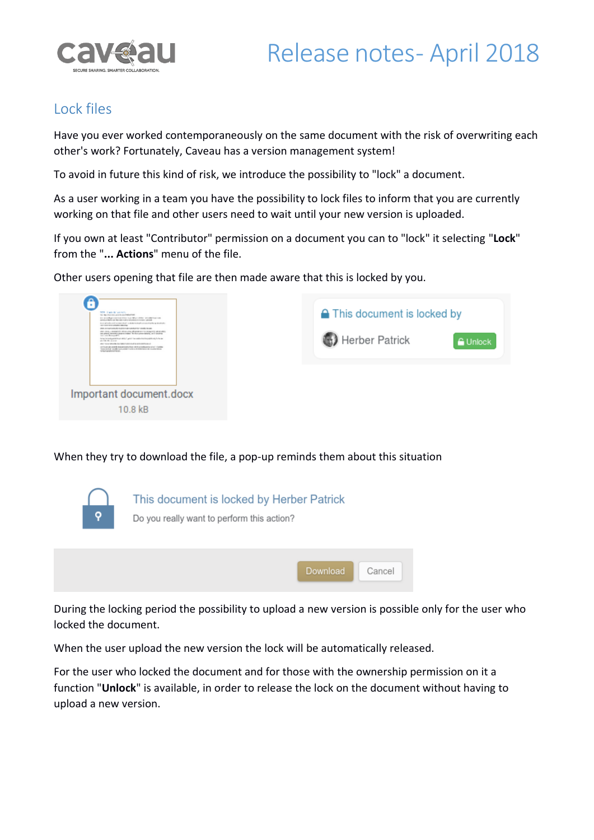

## Lock files

Have you ever worked contemporaneously on the same document with the risk of overwriting each other's work? Fortunately, Caveau has a version management system!

To avoid in future this kind of risk, we introduce the possibility to "lock" a document.

As a user working in a team you have the possibility to lock files to inform that you are currently working on that file and other users need to wait until your new version is uploaded.

If you own at least "Contributor" permission on a document you can to "lock" it selecting "**Lock**" from the "**... Actions**" menu of the file.

Other users opening that file are then made aware that this is locked by you.



When they try to download the file, a pop-up reminds them about this situation



During the locking period the possibility to upload a new version is possible only for the user who locked the document.

When the user upload the new version the lock will be automatically released.

For the user who locked the document and for those with the ownership permission on it a function "**Unlock**" is available, in order to release the lock on the document without having to upload a new version.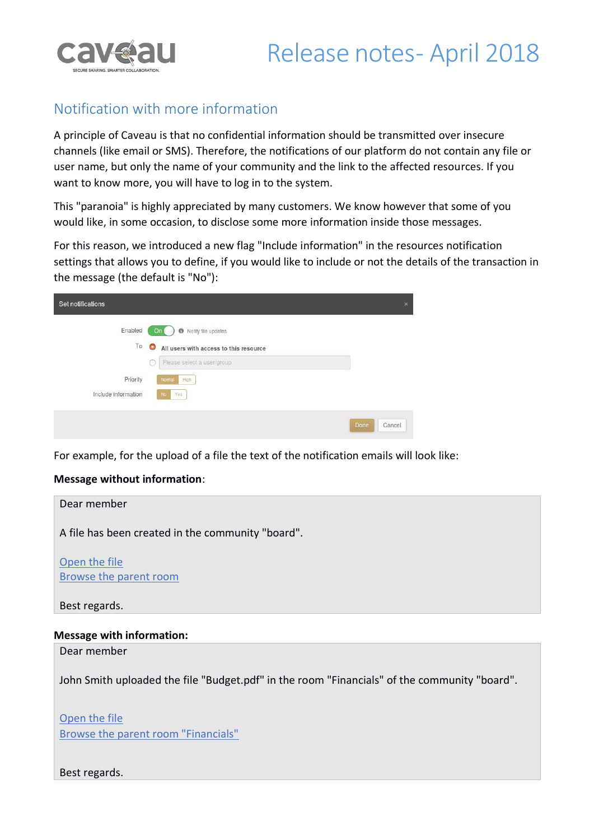

### Notification with more information

A principle of Caveau is that no confidential information should be transmitted over insecure channels (like email or SMS). Therefore, the notifications of our platform do not contain any file or user name, but only the name of your community and the link to the affected resources. If you want to know more, you will have to log in to the system.

This "paranoia" is highly appreciated by many customers. We know however that some of you would like, in some occasion, to disclose some more information inside those messages.

For this reason, we introduced a new flag "Include information" in the resources notification settings that allows you to define, if you would like to include or not the details of the transaction in the message (the default is "No"):

| Set notifications   |                                                     | $\pmb{\times}$ |
|---------------------|-----------------------------------------------------|----------------|
| Enabled             | Notify file updates<br>On <sub>1</sub><br>$\bullet$ |                |
| To                  | $\bullet$<br>All users with access to this resource |                |
|                     | Please select a user/group<br>v.                    |                |
| Priority            | High<br>Normal                                      |                |
| Include information | No.<br>Yes                                          |                |
|                     | Done                                                | Cancel         |

For example, for the upload of a file the text of the notification emails will look like:

#### **Message without information**:



#### **Message with information:**

Dear member

John Smith uploaded the file "Budget.pdf" in the room "Financials" of the community "board".

Open the file Browse the parent room "Financials"

Best regards.